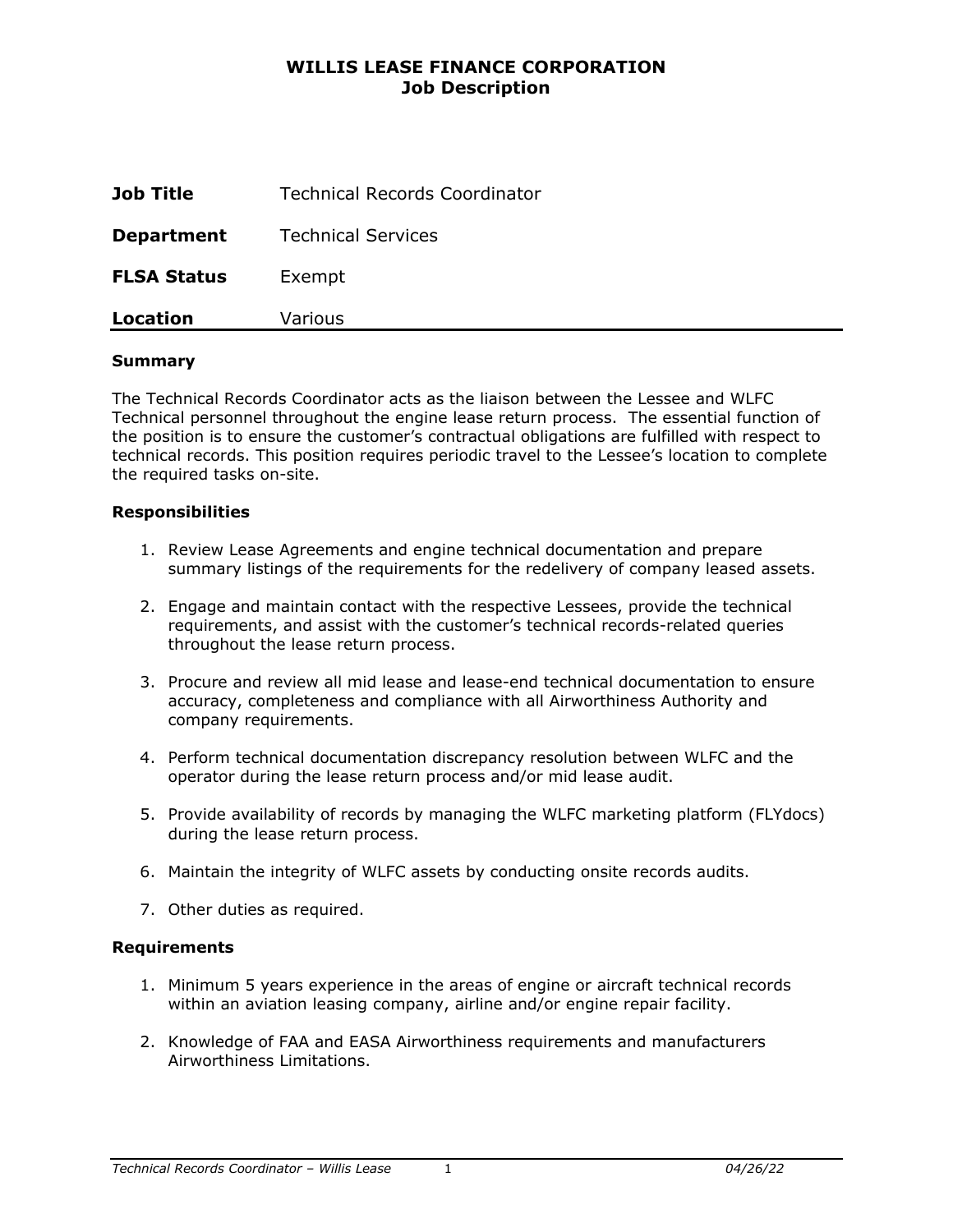# **WILLIS LEASE FINANCE CORPORATION Job Description**

| Job Title          | <b>Technical Records Coordinator</b> |
|--------------------|--------------------------------------|
| <b>Department</b>  | <b>Technical Services</b>            |
| <b>FLSA Status</b> | Exempt                               |
| Location           | Various                              |

#### **Summary**

The Technical Records Coordinator acts as the liaison between the Lessee and WLFC Technical personnel throughout the engine lease return process. The essential function of the position is to ensure the customer's contractual obligations are fulfilled with respect to technical records. This position requires periodic travel to the Lessee's location to complete the required tasks on-site.

#### **Responsibilities**

- 1. Review Lease Agreements and engine technical documentation and prepare summary listings of the requirements for the redelivery of company leased assets.
- 2. Engage and maintain contact with the respective Lessees, provide the technical requirements, and assist with the customer's technical records-related queries throughout the lease return process.
- 3. Procure and review all mid lease and lease-end technical documentation to ensure accuracy, completeness and compliance with all Airworthiness Authority and company requirements.
- 4. Perform technical documentation discrepancy resolution between WLFC and the operator during the lease return process and/or mid lease audit.
- 5. Provide availability of records by managing the WLFC marketing platform (FLYdocs) during the lease return process.
- 6. Maintain the integrity of WLFC assets by conducting onsite records audits.
- 7. Other duties as required.

#### **Requirements**

- 1. Minimum 5 years experience in the areas of engine or aircraft technical records within an aviation leasing company, airline and/or engine repair facility.
- 2. Knowledge of FAA and EASA Airworthiness requirements and manufacturers Airworthiness Limitations.